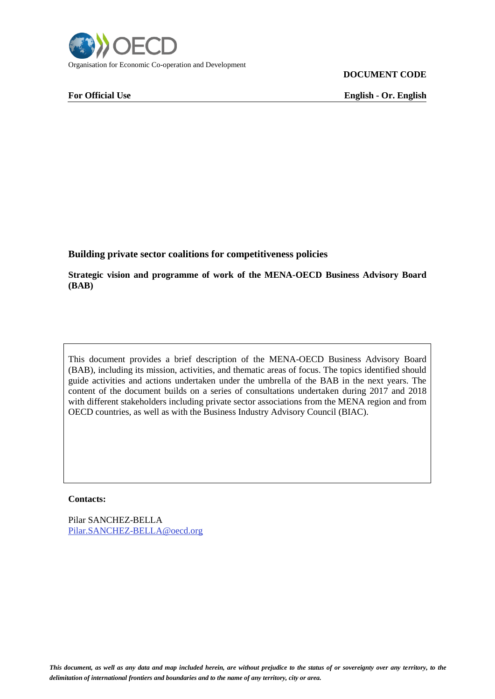

**DOCUMENT CODE**

**For Official Use English - Or. English**

**Building private sector coalitions for competitiveness policies**

**Strategic vision and programme of work of the MENA-OECD Business Advisory Board (BAB)**

This document provides a brief description of the MENA-OECD Business Advisory Board (BAB), including its mission, activities, and thematic areas of focus. The topics identified should guide activities and actions undertaken under the umbrella of the BAB in the next years. The content of the document builds on a series of consultations undertaken during 2017 and 2018 with different stakeholders including private sector associations from the MENA region and from OECD countries, as well as with the Business Industry Advisory Council (BIAC).

## **Contacts:**

Pilar SANCHEZ-BELLA [Pilar.SANCHEZ-BELLA@oecd.org](mailto:Pilar.SANCHEZ-BELLA@oecd.org)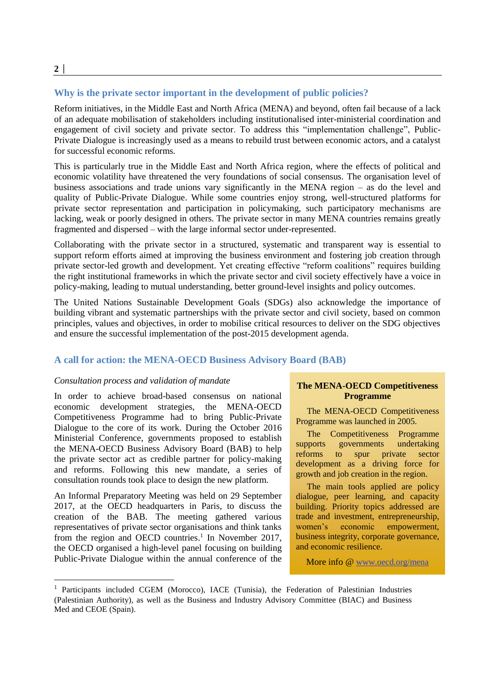## **Why is the private sector important in the development of public policies?**

Reform initiatives, in the Middle East and North Africa (MENA) and beyond, often fail because of a lack of an adequate mobilisation of stakeholders including institutionalised inter-ministerial coordination and engagement of civil society and private sector. To address this "implementation challenge", Public-Private Dialogue is increasingly used as a means to rebuild trust between economic actors, and a catalyst for successful economic reforms.

This is particularly true in the Middle East and North Africa region, where the effects of political and economic volatility have threatened the very foundations of social consensus. The organisation level of business associations and trade unions vary significantly in the MENA region – as do the level and quality of Public-Private Dialogue. While some countries enjoy strong, well-structured platforms for private sector representation and participation in policymaking, such participatory mechanisms are lacking, weak or poorly designed in others. The private sector in many MENA countries remains greatly fragmented and dispersed – with the large informal sector under-represented.

Collaborating with the private sector in a structured, systematic and transparent way is essential to support reform efforts aimed at improving the business environment and fostering job creation through private sector-led growth and development. Yet creating effective "reform coalitions" requires building the right institutional frameworks in which the private sector and civil society effectively have a voice in policy-making, leading to mutual understanding, better ground-level insights and policy outcomes.

The United Nations Sustainable Development Goals (SDGs) also acknowledge the importance of building vibrant and systematic partnerships with the private sector and civil society, based on common principles, values and objectives, in order to mobilise critical resources to deliver on the SDG objectives and ensure the successful implementation of the post-2015 development agenda.

### **A call for action: the MENA-OECD Business Advisory Board (BAB)**

#### *Consultation process and validation of mandate*

In order to achieve broad-based consensus on national economic development strategies, the MENA-OECD Competitiveness Programme had to bring Public-Private Dialogue to the core of its work. During the October 2016 Ministerial Conference, governments proposed to establish the MENA-OECD Business Advisory Board (BAB) to help the private sector act as credible partner for policy-making and reforms. Following this new mandate, a series of consultation rounds took place to design the new platform.

An Informal Preparatory Meeting was held on 29 September 2017, at the OECD headquarters in Paris, to discuss the creation of the BAB. The meeting gathered various representatives of private sector organisations and think tanks from the region and OECD countries.<sup>1</sup> In November 2017, the OECD organised a high-level panel focusing on building Public-Private Dialogue within the annual conference of the

## **The MENA-OECD Competitiveness Programme**

 The MENA-OECD Competitiveness Programme was launched in 2005.

 The Competitiveness Programme supports governments undertaking reforms to spur private sector development as a driving force for growth and job creation in the region.

 The main tools applied are policy dialogue, peer learning, and capacity building. Priority topics addressed are trade and investment, entrepreneurship, women's economic empowerment, business integrity, corporate governance, and economic resilience.

More info @ [www.oecd.org/mena](http://www.oecd.org/mena)

<sup>&</sup>lt;sup>1</sup> Participants included CGEM (Morocco), IACE (Tunisia), the Federation of Palestinian Industries (Palestinian Authority), as well as the Business and Industry Advisory Committee (BIAC) and Business Med and CEOE (Spain).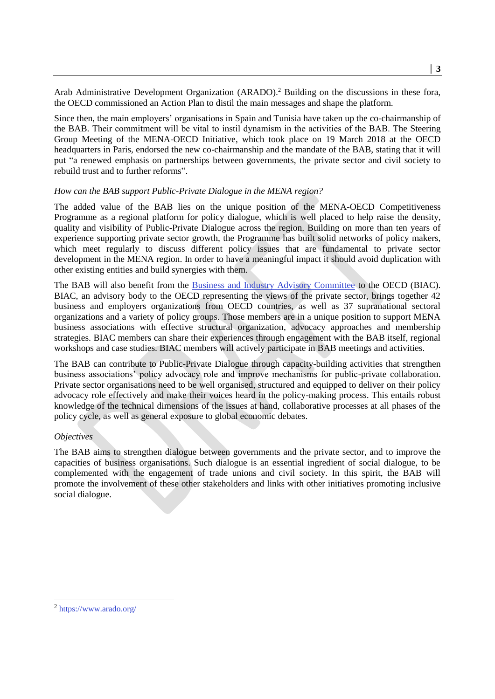Arab Administrative Development Organization (ARADO). <sup>2</sup> Building on the discussions in these fora, the OECD commissioned an Action Plan to distil the main messages and shape the platform.

Since then, the main employers' organisations in Spain and Tunisia have taken up the co-chairmanship of the BAB. Their commitment will be vital to instil dynamism in the activities of the BAB. The Steering Group Meeting of the MENA-OECD Initiative, which took place on 19 March 2018 at the OECD headquarters in Paris, endorsed the new co-chairmanship and the mandate of the BAB, stating that it will put "a renewed emphasis on partnerships between governments, the private sector and civil society to rebuild trust and to further reforms".

# *How can the BAB support Public-Private Dialogue in the MENA region?*

The added value of the BAB lies on the unique position of the MENA-OECD Competitiveness Programme as a regional platform for policy dialogue, which is well placed to help raise the density, quality and visibility of Public-Private Dialogue across the region. Building on more than ten years of experience supporting private sector growth, the Programme has built solid networks of policy makers, which meet regularly to discuss different policy issues that are fundamental to private sector development in the MENA region. In order to have a meaningful impact it should avoid duplication with other existing entities and build synergies with them.

The BAB will also benefit from the [Business and Industry Advisory Committee](http://biac.org/) to the OECD (BIAC). BIAC, an advisory body to the OECD representing the views of the private sector, brings together 42 business and employers organizations from OECD countries, as well as 37 supranational sectoral organizations and a variety of policy groups. Those members are in a unique position to support MENA business associations with effective structural organization, advocacy approaches and membership strategies. BIAC members can share their experiences through engagement with the BAB itself, regional workshops and case studies. BIAC members will actively participate in BAB meetings and activities.

The BAB can contribute to Public-Private Dialogue through capacity-building activities that strengthen business associations' policy advocacy role and improve mechanisms for public-private collaboration. Private sector organisations need to be well organised, structured and equipped to deliver on their policy advocacy role effectively and make their voices heard in the policy-making process. This entails robust knowledge of the technical dimensions of the issues at hand, collaborative processes at all phases of the policy cycle, as well as general exposure to global economic debates.

# *Objectives*

The BAB aims to strengthen dialogue between governments and the private sector, and to improve the capacities of business organisations. Such dialogue is an essential ingredient of social dialogue, to be complemented with the engagement of trade unions and civil society. In this spirit, the BAB will promote the involvement of these other stakeholders and links with other initiatives promoting inclusive social dialogue.

 $\overline{a}$ 

<sup>&</sup>lt;sup>2</sup> <https://www.arado.org/>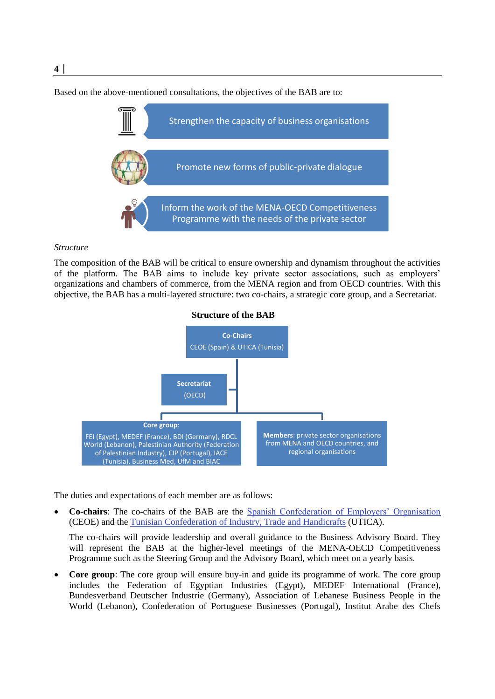Based on the above-mentioned consultations, the objectives of the BAB are to:



#### *Structure*

The composition of the BAB will be critical to ensure ownership and dynamism throughout the activities of the platform. The BAB aims to include key private sector associations, such as employers' organizations and chambers of commerce, from the MENA region and from OECD countries. With this objective, the BAB has a multi-layered structure: two co-chairs, a strategic core group, and a Secretariat.



The duties and expectations of each member are as follows:

 **Co-chairs**: The co-chairs of the BAB are the [Spanish Confederation of Employers' Organisation](https://www.ceoe.es/) (CEOE) and the [Tunisian Confederation of Industry, Trade and Handicrafts](http://www.utica.org.tn/Fr/) (UTICA).

The co-chairs will provide leadership and overall guidance to the Business Advisory Board. They will represent the BAB at the higher-level meetings of the MENA-OECD Competitiveness Programme such as the Steering Group and the Advisory Board, which meet on a yearly basis.

 **Core group**: The core group will ensure buy-in and guide its programme of work. The core group includes the Federation of Egyptian Industries (Egypt), MEDEF International (France), Bundesverband Deutscher Industrie (Germany), Association of Lebanese Business People in the World (Lebanon), Confederation of Portuguese Businesses (Portugal), Institut Arabe des Chefs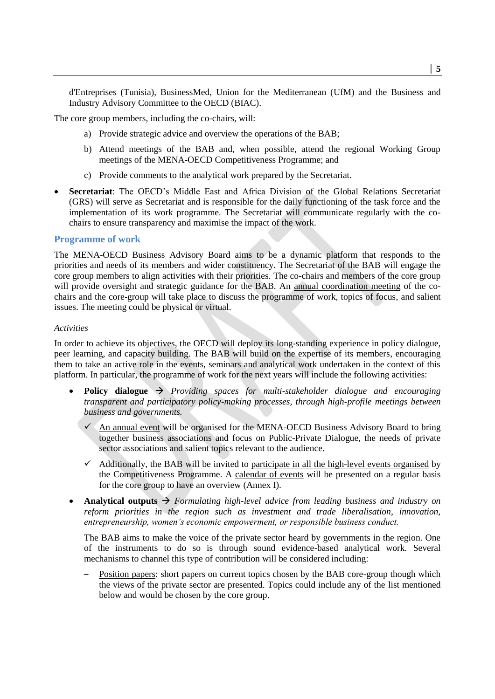d'Entreprises (Tunisia), BusinessMed, Union for the Mediterranean (UfM) and the Business and Industry Advisory Committee to the OECD (BIAC).

The core group members, including the co-chairs, will:

- a) Provide strategic advice and overview the operations of the BAB;
- b) Attend meetings of the BAB and, when possible, attend the regional Working Group meetings of the MENA-OECD Competitiveness Programme; and
- c) Provide comments to the analytical work prepared by the Secretariat.
- **Secretariat**: The OECD's Middle East and Africa Division of the Global Relations Secretariat (GRS) will serve as Secretariat and is responsible for the daily functioning of the task force and the implementation of its work programme. The Secretariat will communicate regularly with the cochairs to ensure transparency and maximise the impact of the work.

#### **Programme of work**

The MENA-OECD Business Advisory Board aims to be a dynamic platform that responds to the priorities and needs of its members and wider constituency. The Secretariat of the BAB will engage the core group members to align activities with their priorities. The co-chairs and members of the core group will provide oversight and strategic guidance for the BAB. An annual coordination meeting of the cochairs and the core-group will take place to discuss the programme of work, topics of focus, and salient issues. The meeting could be physical or virtual.

#### *Activities*

In order to achieve its objectives, the OECD will deploy its long-standing experience in policy dialogue, peer learning, and capacity building. The BAB will build on the expertise of its members, encouraging them to take an active role in the events, seminars and analytical work undertaken in the context of this platform. In particular, the programme of work for the next years will include the following activities:

- **Policy dialogue** *Providing spaces for multi-stakeholder dialogue and encouraging transparent and participatory policy-making processes, through high-profile meetings between business and governments.*
	- An annual event will be organised for the MENA-OECD Business Advisory Board to bring together business associations and focus on Public-Private Dialogue, the needs of private sector associations and salient topics relevant to the audience.
	- Additionally, the BAB will be invited to participate in all the high-level events organised by the Competitiveness Programme. A calendar of events will be presented on a regular basis for the core group to have an overview (Annex I).
- **Analytical outputs** *Formulating high-level advice from leading business and industry on reform priorities in the region such as investment and trade liberalisation, innovation, entrepreneurship, women's economic empowerment, or responsible business conduct.*

The BAB aims to make the voice of the private sector heard by governments in the region. One of the instruments to do so is through sound evidence-based analytical work. Several mechanisms to channel this type of contribution will be considered including:

Position papers: short papers on current topics chosen by the BAB core-group though which the views of the private sector are presented. Topics could include any of the list mentioned below and would be chosen by the core group.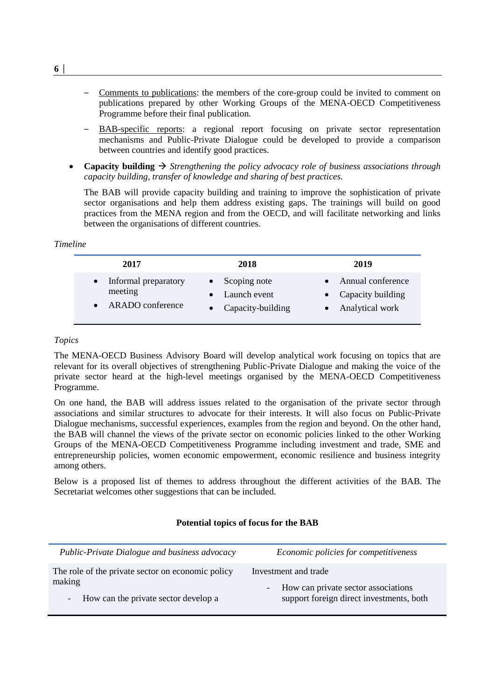- ‒ Comments to publications: the members of the core-group could be invited to comment on publications prepared by other Working Groups of the MENA-OECD Competitiveness Programme before their final publication.
- ‒ BAB-specific reports: a regional report focusing on private sector representation mechanisms and Public-Private Dialogue could be developed to provide a comparison between countries and identify good practices.
- **Capacity building**  $\rightarrow$  *Strengthening the policy advocacy role of business associations through capacity building, transfer of knowledge and sharing of best practices.*

The BAB will provide capacity building and training to improve the sophistication of private sector organisations and help them address existing gaps. The trainings will build on good practices from the MENA region and from the OECD, and will facilitate networking and links between the organisations of different countries.

## *Timeline*

| 2017                 | 2018                   | 2019              |
|----------------------|------------------------|-------------------|
| Informal preparatory | $\bullet$ Scoping note | Annual conference |
| meeting              | • Launch event         | Capacity building |
| ARADO conference     | • Capacity-building    | Analytical work   |

## *Topics*

The MENA-OECD Business Advisory Board will develop analytical work focusing on topics that are relevant for its overall objectives of strengthening Public-Private Dialogue and making the voice of the private sector heard at the high-level meetings organised by the MENA-OECD Competitiveness Programme.

On one hand, the BAB will address issues related to the organisation of the private sector through associations and similar structures to advocate for their interests. It will also focus on Public-Private Dialogue mechanisms, successful experiences, examples from the region and beyond. On the other hand, the BAB will channel the views of the private sector on economic policies linked to the other Working Groups of the MENA-OECD Competitiveness Programme including investment and trade, SME and entrepreneurship policies, women economic empowerment, economic resilience and business integrity among others.

Below is a proposed list of themes to address throughout the different activities of the BAB. The Secretariat welcomes other suggestions that can be included.

# **Potential topics of focus for the BAB**

| Public-Private Dialogue and business advocacy     | Economic policies for competitiveness    |
|---------------------------------------------------|------------------------------------------|
| The role of the private sector on economic policy | Investment and trade                     |
| making                                            | How can private sector associations      |
| - How can the private sector develop a            | support foreign direct investments, both |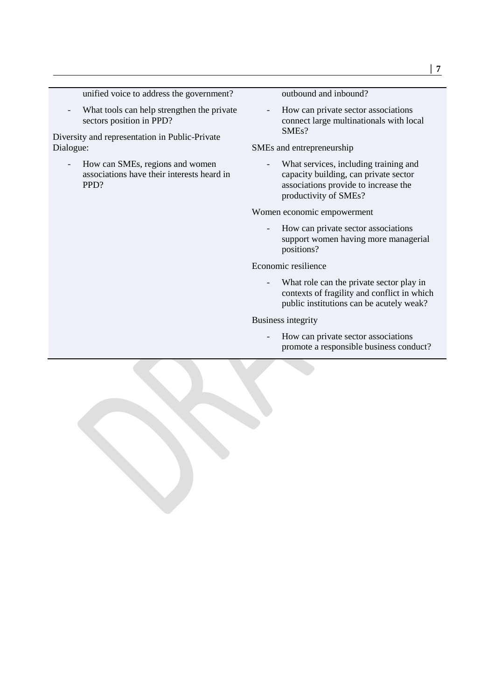## unified voice to address the government?

What tools can help strengthen the private sectors position in PPD?

Diversity and representation in Public-Private Dialogue:

- How can SMEs, regions and women associations have their interests heard in PPD?

outbound and inbound?

How can private sector associations connect large multinationals with local SMEs?

SMEs and entrepreneurship

- What services, including training and capacity building, can private sector associations provide to increase the productivity of SMEs?

Women economic empowerment

- How can private sector associations support women having more managerial positions?

Economic resilience

What role can the private sector play in contexts of fragility and conflict in which public institutions can be acutely weak?

Business integrity

- How can private sector associations promote a responsible business conduct?